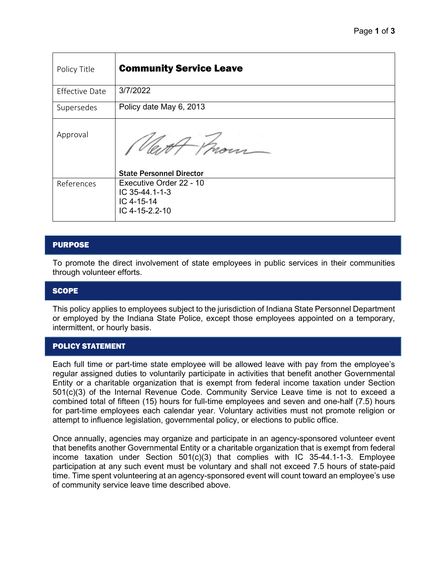| Policy Title          | <b>Community Service Leave</b>                                            |
|-----------------------|---------------------------------------------------------------------------|
| <b>Effective Date</b> | 3/7/2022                                                                  |
| Supersedes            | Policy date May 6, 2013                                                   |
| Approval              |                                                                           |
|                       | <b>State Personnel Director</b>                                           |
| References            | Executive Order 22 - 10<br>IC 35-44.1-1-3<br>IC 4-15-14<br>IC 4-15-2.2-10 |
|                       |                                                                           |

## PURPOSE

To promote the direct involvement of state employees in public services in their communities through volunteer efforts.

### **SCOPE**

This policy applies to employees subject to the jurisdiction of Indiana State Personnel Department or employed by the Indiana State Police, except those employees appointed on a temporary, intermittent, or hourly basis.

### POLICY STATEMENT

Each full time or part-time state employee will be allowed leave with pay from the employee's regular assigned duties to voluntarily participate in activities that benefit another Governmental Entity or a charitable organization that is exempt from federal income taxation under Section 501(c)(3) of the Internal Revenue Code. Community Service Leave time is not to exceed a combined total of fifteen (15) hours for full-time employees and seven and one-half (7.5) hours for part-time employees each calendar year. Voluntary activities must not promote religion or attempt to influence legislation, governmental policy, or elections to public office.

Once annually, agencies may organize and participate in an agency-sponsored volunteer event that benefits another Governmental Entity or a charitable organization that is exempt from federal income taxation under Section 501(c)(3) that complies with IC 35-44.1-1-3. Employee participation at any such event must be voluntary and shall not exceed 7.5 hours of state-paid time. Time spent volunteering at an agency-sponsored event will count toward an employee's use of community service leave time described above.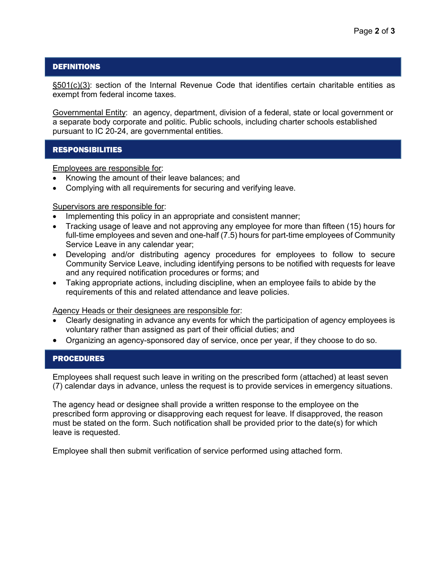## **DEFINITIONS**

§501(c)(3): section of the Internal Revenue Code that identifies certain charitable entities as exempt from federal income taxes.

Governmental Entity: an agency, department, division of a federal, state or local government or a separate body corporate and politic. Public schools, including charter schools established pursuant to IC 20-24, are governmental entities.

## **RESPONSIBILITIES**

Employees are responsible for:

- Knowing the amount of their leave balances; and
- Complying with all requirements for securing and verifying leave.

### Supervisors are responsible for:

- Implementing this policy in an appropriate and consistent manner;
- Tracking usage of leave and not approving any employee for more than fifteen (15) hours for full-time employees and seven and one-half (7.5) hours for part-time employees of Community Service Leave in any calendar year;
- Developing and/or distributing agency procedures for employees to follow to secure Community Service Leave, including identifying persons to be notified with requests for leave and any required notification procedures or forms; and
- Taking appropriate actions, including discipline, when an employee fails to abide by the requirements of this and related attendance and leave policies.

Agency Heads or their designees are responsible for:

- Clearly designating in advance any events for which the participation of agency employees is voluntary rather than assigned as part of their official duties; and
- Organizing an agency-sponsored day of service, once per year, if they choose to do so.

### PROCEDURES

Employees shall request such leave in writing on the prescribed form (attached) at least seven (7) calendar days in advance, unless the request is to provide services in emergency situations.

The agency head or designee shall provide a written response to the employee on the prescribed form approving or disapproving each request for leave. If disapproved, the reason must be stated on the form. Such notification shall be provided prior to the date(s) for which leave is requested.

Employee shall then submit verification of service performed using attached form.